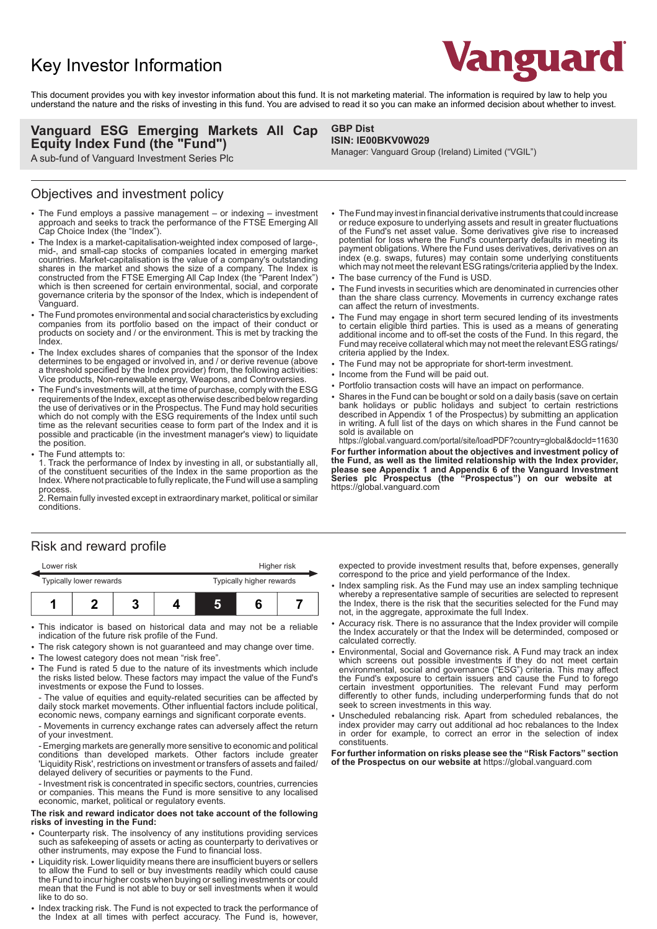# Key Investor Information



This document provides you with key investor information about this fund. It is not marketing material. The information is required by law to help you understand the nature and the risks of investing in this fund. You are advised to read it so you can make an informed decision about whether to invest.

### **Vanguard ESG Emerging Markets All Cap Equity Index Fund (the "Fund")**

A sub-fund of Vanguard Investment Series Plc

### Objectives and investment policy

- The Fund employs a passive management or indexing investment approach and seeks to track the performance of the FTSE Emerging All Cap Choice Index (the "Index").
- The Index is a market-capitalisation-weighted index composed of large-, mid-, and small-cap stocks of companies located in emerging market countries. Market-capitalisation is the value of a company's outstanding shares in the market and shows the size of a company. The Index is constructed from the FTSE Emerging All Cap Index (the "Parent Index") which is then screened for certain environmental, social, and corporate governance criteria by the sponsor of the Index, which is independent of Vanguard.
- 2 The Fund promotes environmental and social characteristics by excluding companies from its portfolio based on the impact of their conduct or products on society and / or the environment. This is met by tracking the **Index**
- The Index excludes shares of companies that the sponsor of the Index determines to be engaged or involved in, and / or derive revenue (above a threshold specified by the Index provider) from, the following activities: Vice products, Non-renewable energy, Weapons, and Controversies.
- 2 The Fund's investments will, at the time of purchase, comply with the ESG requirements of the Index, except as otherwise described below regarding the use of derivatives or in the Prospectus. The Fund may hold securities which do not comply with the ESG requirements of the Index until such time as the relevant securities cease to form part of the Index and it is possible and practicable (in the investment manager's view) to liquidate the position.
- The Fund attempts to:

1. Track the performance of Index by investing in all, or substantially all, of the constituent securities of the Index in the same proportion as the Index. Where not practicable to fully replicate, the Fund will use a sampling process.

2. Remain fully invested except in extraordinary market, political or similar conditions.

### Risk and reward profile

| Lower risk |                         |  |  | Higher risk |  |                          |  |
|------------|-------------------------|--|--|-------------|--|--------------------------|--|
|            | Typically lower rewards |  |  |             |  | Typically higher rewards |  |
|            |                         |  |  |             |  |                          |  |

- This indicator is based on historical data and may not be a reliable indication of the future risk profile of the Fund.
- The risk category shown is not guaranteed and may change over time. • The lowest category does not mean "risk free".
- The Fund is rated 5 due to the nature of its investments which include the risks listed below. These factors may impact the value of the Fund's investments or expose the Fund to losses.

- The value of equities and equity-related securities can be affected by daily stock market movements. Other influential factors include political, economic news, company earnings and significant corporate events.

- Movements in currency exchange rates can adversely affect the return of your investment.

- Emerging markets are generally more sensitive to economic and political conditions than developed markets. Other factors include greater 'Liquidity Risk', restrictions on investment or transfers of assets and failed/ delayed delivery of securities or payments to the Fund.

- Investment risk is concentrated in specific sectors, countries, currencies or companies. This means the Fund is more sensitive to any localised economic, market, political or regulatory events.

#### **The risk and reward indicator does not take account of the following risks of investing in the Fund:**

- 2 Counterparty risk. The insolvency of any institutions providing services such as safekeeping of assets or acting as counterparty to derivatives or other instruments, may expose the Fund to financial loss.
- Liquidity risk. Lower liquidity means there are insufficient buyers or sellers to allow the Fund to sell or buy investments readily which could cause the Fund to incur higher costs when buying or selling investments or could mean that the Fund is not able to buy or sell investments when it would like to do so.
- Index tracking risk. The Fund is not expected to track the performance of the Index at all times with perfect accuracy. The Fund is, however,

#### **GBP Dist ISIN: IE00BKV0W029**

Manager: Vanguard Group (Ireland) Limited ("VGIL")

- The Fund may invest in financial derivative instruments that could increase or reduce exposure to underlying assets and result in greater fluctuations of the Fund's net asset value. Some derivatives give rise to increased potential for loss where the Fund's counterparty defaults in meeting its payment obligations. Where the Fund uses derivatives, derivatives on an index (e.g. swaps, futures) may contain some underlying constituents which may not meet the relevant ESG ratings/criteria applied by the Index.
- The base currency of the Fund is USD.
- The Fund invests in securities which are denominated in currencies other than the share class currency. Movements in currency exchange rates can affect the return of investments.
- The Fund may engage in short term secured lending of its investments to certain eligible third parties. This is used as a means of generating additional income and to off-set the costs of the Fund. In this regard, the Fund may receive collateral which may not meet the relevant ESG ratings/ criteria applied by the Index.
- The Fund may not be appropriate for short-term investment.
- Income from the Fund will be paid out.
- Portfolio transaction costs will have an impact on performance.
- 2 Shares in the Fund can be bought or sold on a daily basis (save on certain bank holidays or public holidays and subject to certain restrictions described in Appendix 1 of the Prospectus) by submitting an application in writing. A full list of the days on which shares in the Fund cannot be sold is available on

https://global.vanguard.com/portal/site/loadPDF?country=global&docId=11630 **For further information about the objectives and investment policy of the Fund, as well as the limited relationship with the Index provider, please see Appendix 1 and Appendix 6 of the Vanguard Investment Series plc Prospectus (the "Prospectus") on our website at**  https://global.vanguard.com

expected to provide investment results that, before expenses, generally correspond to the price and yield performance of the Index.

- Index sampling risk. As the Fund may use an index sampling technique whereby a representative sample of securities are selected to represent the Index, there is the risk that the securities selected for the Fund may not, in the aggregate, approximate the full Index.
- Accuracy risk. There is no assurance that the Index provider will compile the Index accurately or that the Index will be determinded, composed or calculated correctly.
- Environmental, Social and Governance risk. A Fund may track an index which screens out possible investments if they do not meet certain environmental, social and governance ("ESG") criteria. This may affect the Fund's exposure to certain issuers and cause the Fund to forego certain investment opportunities. The relevant Fund may perform differently to other funds, including underperforming funds that do not seek to screen investments in this way.
- 2 Unscheduled rebalancing risk. Apart from scheduled rebalances, the index provider may carry out additional ad hoc rebalances to the Index in order for example, to correct an error in the selection of index constituents.

**For further information on risks please see the "Risk Factors" section of the Prospectus on our website at** https://global.vanguard.com